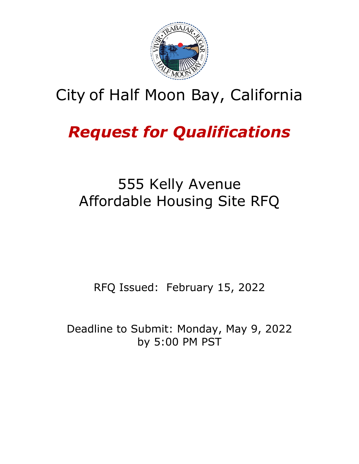

## City of Half Moon Bay, California

# *Request for Qualifications*

## 555 Kelly Avenue Affordable Housing Site RFQ

RFQ Issued: February 15, 2022

Deadline to Submit: Monday, May 9, 2022 by 5:00 PM PST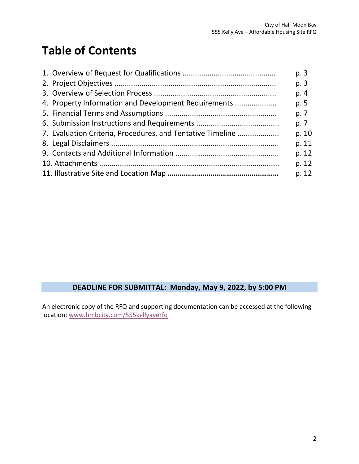## **Table of Contents**

|                                                            | p. 3  |
|------------------------------------------------------------|-------|
|                                                            | p. 3  |
|                                                            | p. 4  |
| 4. Property Information and Development Requirements       | p. 5  |
|                                                            | p. 7  |
|                                                            | p. 7  |
| 7. Evaluation Criteria, Procedures, and Tentative Timeline | p. 10 |
|                                                            | p. 11 |
|                                                            | p. 12 |
|                                                            | p. 12 |
|                                                            | p. 12 |

### **DEADLINE FOR SUBMITTAL: Monday, May 9, 2022, by 5:00 PM**

An electronic copy of the RFQ and supporting documentation can be accessed at the following location: [www.hmbcity.com/555kellyaverfq](http://www.hmbcity.com/555kellyaverfq)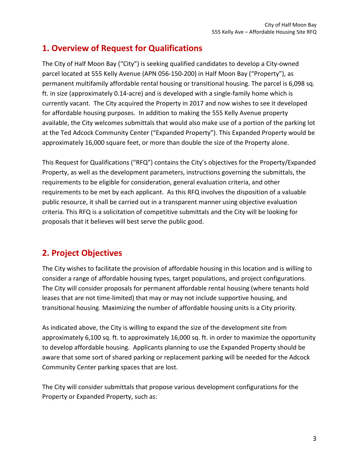## **1. Overview of Request for Qualifications**

The City of Half Moon Bay ("City") is seeking qualified candidates to develop a City-owned parcel located at 555 Kelly Avenue (APN 056-150-200) in Half Moon Bay ("Property"), as permanent multifamily affordable rental housing or transitional housing. The parcel is 6,098 sq. ft. in size (approximately 0.14-acre) and is developed with a single-family home which is currently vacant. The City acquired the Property in 2017 and now wishes to see it developed for affordable housing purposes. In addition to making the 555 Kelly Avenue property available, the City welcomes submittals that would also make use of a portion of the parking lot at the Ted Adcock Community Center ("Expanded Property"). This Expanded Property would be approximately 16,000 square feet, or more than double the size of the Property alone.

This Request for Qualifications ("RFQ") contains the City's objectives for the Property/Expanded Property, as well as the development parameters, instructions governing the submittals, the requirements to be eligible for consideration, general evaluation criteria, and other requirements to be met by each applicant. As this RFQ involves the disposition of a valuable public resource, it shall be carried out in a transparent manner using objective evaluation criteria. This RFQ is a solicitation of competitive submittals and the City will be looking for proposals that it believes will best serve the public good.

## **2. Project Objectives**

The City wishes to facilitate the provision of affordable housing in this location and is willing to consider a range of affordable housing types, target populations, and project configurations. The City will consider proposals for permanent affordable rental housing (where tenants hold leases that are not time-limited) that may or may not include supportive housing, and transitional housing. Maximizing the number of affordable housing units is a City priority.

As indicated above, the City is willing to expand the size of the development site from approximately 6,100 sq. ft. to approximately 16,000 sq. ft. in order to maximize the opportunity to develop affordable housing. Applicants planning to use the Expanded Property should be aware that some sort of shared parking or replacement parking will be needed for the Adcock Community Center parking spaces that are lost.

The City will consider submittals that propose various development configurations for the Property or Expanded Property, such as: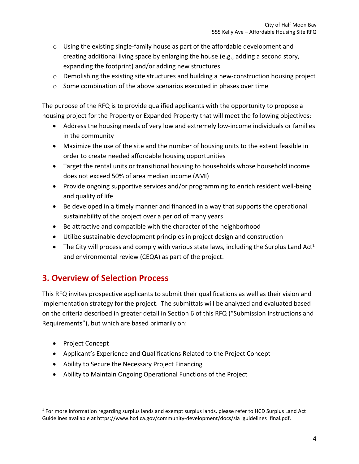- $\circ$  Using the existing single-family house as part of the affordable development and creating additional living space by enlarging the house (e.g., adding a second story, expanding the footprint) and/or adding new structures
- $\circ$  Demolishing the existing site structures and building a new-construction housing project
- o Some combination of the above scenarios executed in phases over time

The purpose of the RFQ is to provide qualified applicants with the opportunity to propose a housing project for the Property or Expanded Property that will meet the following objectives:

- Address the housing needs of very low and extremely low-income individuals or families in the community
- Maximize the use of the site and the number of housing units to the extent feasible in order to create needed affordable housing opportunities
- Target the rental units or transitional housing to households whose household income does not exceed 50% of area median income (AMI)
- Provide ongoing supportive services and/or programming to enrich resident well-being and quality of life
- Be developed in a timely manner and financed in a way that supports the operational sustainability of the project over a period of many years
- Be attractive and compatible with the character of the neighborhood
- Utilize sustainable development principles in project design and construction
- The City will process and comply with various state laws, including the Surplus Land Act<sup>1</sup> and environmental review (CEQA) as part of the project.

## **3. Overview of Selection Process**

This RFQ invites prospective applicants to submit their qualifications as well as their vision and implementation strategy for the project. The submittals will be analyzed and evaluated based on the criteria described in greater detail in Section 6 of this RFQ ("Submission Instructions and Requirements"), but which are based primarily on:

- Project Concept
- Applicant's Experience and Qualifications Related to the Project Concept
- Ability to Secure the Necessary Project Financing
- Ability to Maintain Ongoing Operational Functions of the Project

<sup>&</sup>lt;sup>1</sup> For more information regarding surplus lands and exempt surplus lands. please refer to HCD Surplus Land Act Guidelines available at https://www.hcd.ca.gov/community-development/docs/sla\_guidelines\_final.pdf.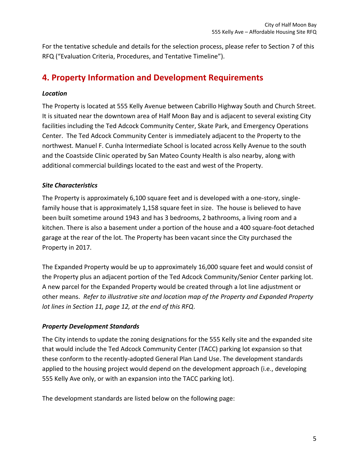For the tentative schedule and details for the selection process, please refer to Section 7 of this RFQ ("Evaluation Criteria, Procedures, and Tentative Timeline").

## **4. Property Information and Development Requirements**

#### *Location*

The Property is located at 555 Kelly Avenue between Cabrillo Highway South and Church Street. It is situated near the downtown area of Half Moon Bay and is adjacent to several existing City facilities including the Ted Adcock Community Center, Skate Park, and Emergency Operations Center. The Ted Adcock Community Center is immediately adjacent to the Property to the northwest. Manuel F. Cunha Intermediate School is located across Kelly Avenue to the south and the Coastside Clinic operated by San Mateo County Health is also nearby, along with additional commercial buildings located to the east and west of the Property.

#### *Site Characteristics*

The Property is approximately 6,100 square feet and is developed with a one-story, singlefamily house that is approximately 1,158 square feet in size. The house is believed to have been built sometime around 1943 and has 3 bedrooms, 2 bathrooms, a living room and a kitchen. There is also a basement under a portion of the house and a 400 square-foot detached garage at the rear of the lot. The Property has been vacant since the City purchased the Property in 2017.

The Expanded Property would be up to approximately 16,000 square feet and would consist of the Property plus an adjacent portion of the Ted Adcock Community/Senior Center parking lot. A new parcel for the Expanded Property would be created through a lot line adjustment or other means. *Refer to illustrative site and location map of the Property and Expanded Property lot lines in Section 11, page 12, at the end of this RFQ*.

#### *Property Development Standards*

The City intends to update the zoning designations for the 555 Kelly site and the expanded site that would include the Ted Adcock Community Center (TACC) parking lot expansion so that these conform to the recently-adopted General Plan Land Use. The development standards applied to the housing project would depend on the development approach (i.e., developing 555 Kelly Ave only, or with an expansion into the TACC parking lot).

The development standards are listed below on the following page: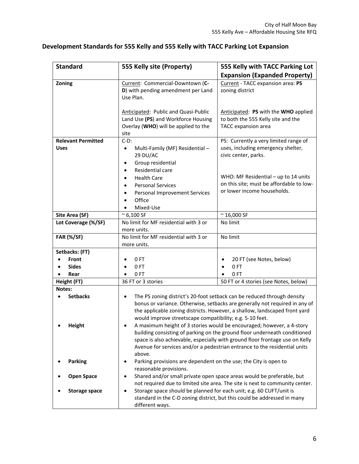| <b>Standard</b>                     | 555 Kelly site (Property)                                                                                                                                                                                                                        | 555 Kelly with TACC Parking Lot                                                                                                                                                                                                                                                                                                                                           |  |
|-------------------------------------|--------------------------------------------------------------------------------------------------------------------------------------------------------------------------------------------------------------------------------------------------|---------------------------------------------------------------------------------------------------------------------------------------------------------------------------------------------------------------------------------------------------------------------------------------------------------------------------------------------------------------------------|--|
|                                     |                                                                                                                                                                                                                                                  | <b>Expansion (Expanded Property)</b>                                                                                                                                                                                                                                                                                                                                      |  |
| Zoning                              | Current: Commercial-Downtown (C-<br>D) with pending amendment per Land<br>Use Plan.                                                                                                                                                              | Current - TACC expansion area: PS<br>zoning district                                                                                                                                                                                                                                                                                                                      |  |
|                                     | Anticipated: Public and Quasi-Public<br>Land Use (PS) and Workforce Housing<br>Overlay (WHO) will be applied to the<br>site                                                                                                                      | Anticipated: PS with the WHO applied<br>to both the 555 Kelly site and the<br>TACC expansion area                                                                                                                                                                                                                                                                         |  |
| <b>Relevant Permitted</b>           | $C-D$ :                                                                                                                                                                                                                                          | PS: Currently a very limited range of                                                                                                                                                                                                                                                                                                                                     |  |
| <b>Uses</b>                         | Multi-Family (MF) Residential-<br>$\bullet$<br>29 DU/AC                                                                                                                                                                                          | uses, including emergency shelter,<br>civic center, parks.                                                                                                                                                                                                                                                                                                                |  |
|                                     | Group residential<br>Residential care<br><b>Health Care</b><br><b>Personal Services</b><br>Personal Improvement Services<br>Office<br>Mixed-Use                                                                                                  | WHO: MF Residential - up to 14 units<br>on this site; must be affordable to low-<br>or lower income households.                                                                                                                                                                                                                                                           |  |
| Site Area (SF)                      | $~^{\sim}$ 6,100 SF                                                                                                                                                                                                                              | $~^{\sim}$ 16,000 SF                                                                                                                                                                                                                                                                                                                                                      |  |
| Lot Coverage (%/SF)                 | No limit for MF residential with 3 or<br>more units.                                                                                                                                                                                             | No limit                                                                                                                                                                                                                                                                                                                                                                  |  |
| <b>FAR (%/SF)</b>                   | No limit for MF residential with 3 or<br>more units.                                                                                                                                                                                             | No limit                                                                                                                                                                                                                                                                                                                                                                  |  |
| Setbacks: (FT)                      |                                                                                                                                                                                                                                                  |                                                                                                                                                                                                                                                                                                                                                                           |  |
| Front                               | 0FT                                                                                                                                                                                                                                              | 20 FT (see Notes, below)<br>٠                                                                                                                                                                                                                                                                                                                                             |  |
| <b>Sides</b>                        | 0FT                                                                                                                                                                                                                                              | 0FT<br>$\bullet$                                                                                                                                                                                                                                                                                                                                                          |  |
| Rear<br>$\bullet$                   | 0FT                                                                                                                                                                                                                                              | 0FT<br>$\bullet$                                                                                                                                                                                                                                                                                                                                                          |  |
| Height (FT)                         | 36 FT or 3 stories                                                                                                                                                                                                                               | 50 FT or 4 stories (see Notes, below)                                                                                                                                                                                                                                                                                                                                     |  |
| Notes:<br><b>Setbacks</b><br>Height | $\bullet$                                                                                                                                                                                                                                        | The PS zoning district's 20-foot setback can be reduced through density<br>bonus or variance. Otherwise, setbacks are generally not required in any of<br>the applicable zoning districts. However, a shallow, landscaped front yard<br>would improve streetscape compatibility; e.g. 5-10 feet.<br>A maximum height of 3 stories would be encouraged; however, a 4-story |  |
|                                     | building consisting of parking on the ground floor underneath conditioned<br>space is also achievable, especially with ground floor frontage use on Kelly<br>Avenue for services and/or a pedestrian entrance to the residential units<br>above. |                                                                                                                                                                                                                                                                                                                                                                           |  |
| <b>Parking</b>                      | Parking provisions are dependent on the use; the City is open to<br>reasonable provisions.                                                                                                                                                       |                                                                                                                                                                                                                                                                                                                                                                           |  |
| <b>Open Space</b>                   | Shared and/or small private open space areas would be preferable, but<br>not required due to limited site area. The site is next to community center.                                                                                            |                                                                                                                                                                                                                                                                                                                                                                           |  |
| <b>Storage space</b>                | Storage space should be planned for each unit; e.g. 60 CUFT/unit is<br>standard in the C-D zoning district, but this could be addressed in many<br>different ways.                                                                               |                                                                                                                                                                                                                                                                                                                                                                           |  |

#### **Development Standards for 555 Kelly and 555 Kelly with TACC Parking Lot Expansion**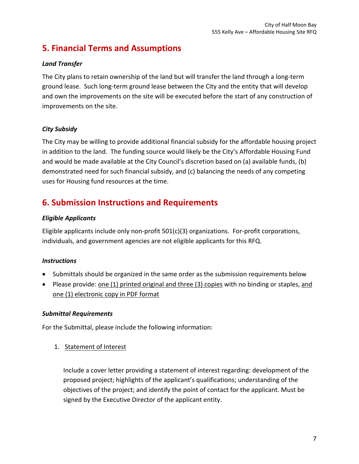## **5. Financial Terms and Assumptions**

#### *Land Transfer*

The City plans to retain ownership of the land but will transfer the land through a long-term ground lease. Such long-term ground lease between the City and the entity that will develop and own the improvements on the site will be executed before the start of any construction of improvements on the site.

#### *City Subsidy*

The City may be willing to provide additional financial subsidy for the affordable housing project in addition to the land. The funding source would likely be the City's Affordable Housing Fund and would be made available at the City Council's discretion based on (a) available funds, (b) demonstrated need for such financial subsidy, and (c) balancing the needs of any competing uses for Housing fund resources at the time.

## **6. Submission Instructions and Requirements**

#### *Eligible Applicants*

Eligible applicants include only non-profit 501(c)(3) organizations. For-profit corporations, individuals, and government agencies are not eligible applicants for this RFQ.

#### *Instructions*

- Submittals should be organized in the same order as the submission requirements below
- Please provide: one (1) printed original and three (3) copies with no binding or staples, and one (1) electronic copy in PDF format

#### *Submittal Requirements*

For the Submittal, please include the following information:

1. Statement of Interest

Include a cover letter providing a statement of interest regarding: development of the proposed project; highlights of the applicant's qualifications; understanding of the objectives of the project; and identify the point of contact for the applicant. Must be signed by the Executive Director of the applicant entity.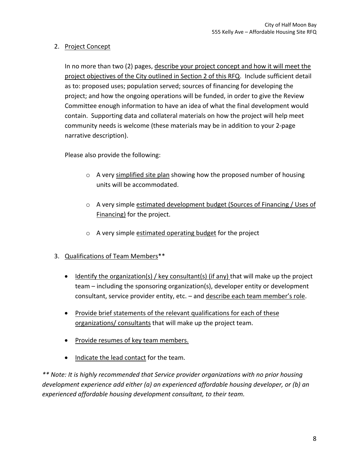#### 2. Project Concept

In no more than two (2) pages, describe your project concept and how it will meet the project objectives of the City outlined in Section 2 of this RFQ. Include sufficient detail as to: proposed uses; population served; sources of financing for developing the project; and how the ongoing operations will be funded, in order to give the Review Committee enough information to have an idea of what the final development would contain. Supporting data and collateral materials on how the project will help meet community needs is welcome (these materials may be in addition to your 2-page narrative description).

Please also provide the following:

- o A very simplified site plan showing how the proposed number of housing units will be accommodated.
- o A very simple estimated development budget (Sources of Financing / Uses of Financing) for the project.
- o A very simple estimated operating budget for the project
- 3. Qualifications of Team Members\*\*
	- Identify the organization(s) / key consultant(s) (if any) that will make up the project team – including the sponsoring organization(s), developer entity or development consultant, service provider entity, etc. - and describe each team member's role.
	- Provide brief statements of the relevant qualifications for each of these organizations/ consultants that will make up the project team.
	- Provide resumes of key team members.
	- Indicate the lead contact for the team.

*\*\* Note: It is highly recommended that Service provider organizations with no prior housing development experience add either (a) an experienced affordable housing developer, or (b) an experienced affordable housing development consultant, to their team.*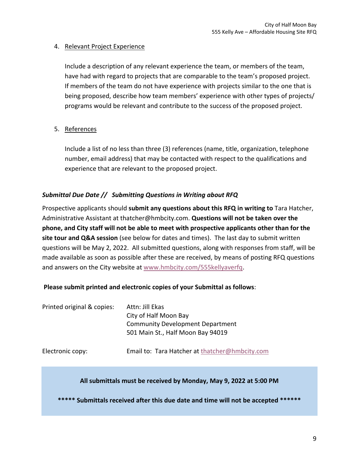#### 4. Relevant Project Experience

Include a description of any relevant experience the team, or members of the team, have had with regard to projects that are comparable to the team's proposed project. If members of the team do not have experience with projects similar to the one that is being proposed, describe how team members' experience with other types of projects/ programs would be relevant and contribute to the success of the proposed project.

#### 5. References

Include a list of no less than three (3) references (name, title, organization, telephone number, email address) that may be contacted with respect to the qualifications and experience that are relevant to the proposed project.

#### *Submittal Due Date // Submitting Questions in Writing about RFQ*

Prospective applicants should **submit any questions about this RFQ in writing to** Tara Hatcher, Administrative Assistant at thatcher@hmbcity.com. **Questions will not be taken over the phone, and City staff will not be able to meet with prospective applicants other than for the site tour and Q&A session** (see below for dates and times). The last day to submit written questions will be May 2, 2022. All submitted questions, along with responses from staff, will be made available as soon as possible after these are received, by means of posting RFQ questions and answers on the City website at [www.hmbcity.com/555kellyaverfq.](http://www.hmbcity.com/555kellyaverfq)

#### **Please submit printed and electronic copies of your Submittal as follows**:

| Printed original & copies: | Attn: Jill Ekas<br>City of Half Moon Bay<br><b>Community Development Department</b><br>501 Main St., Half Moon Bay 94019 |
|----------------------------|--------------------------------------------------------------------------------------------------------------------------|
| Electronic copy:           | Email to: Tara Hatcher at thatcher@hmbcity.com                                                                           |

#### **All submittals must be received by Monday, May 9, 2022 at 5:00 PM**

**\*\*\*\*\* Submittals received after this due date and time will not be accepted \*\*\*\*\*\***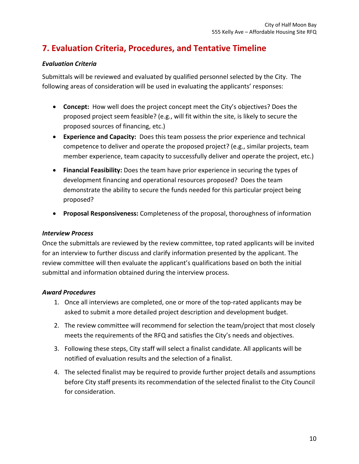## **7. Evaluation Criteria, Procedures, and Tentative Timeline**

#### *Evaluation Criteria*

Submittals will be reviewed and evaluated by qualified personnel selected by the City. The following areas of consideration will be used in evaluating the applicants' responses:

- **Concept:** How well does the project concept meet the City's objectives? Does the proposed project seem feasible? (e.g., will fit within the site, is likely to secure the proposed sources of financing, etc.)
- **Experience and Capacity:** Does this team possess the prior experience and technical competence to deliver and operate the proposed project? (e.g., similar projects, team member experience, team capacity to successfully deliver and operate the project, etc.)
- **Financial Feasibility:** Does the team have prior experience in securing the types of development financing and operational resources proposed? Does the team demonstrate the ability to secure the funds needed for this particular project being proposed?
- **Proposal Responsiveness:** Completeness of the proposal, thoroughness of information

#### *Interview Process*

Once the submittals are reviewed by the review committee, top rated applicants will be invited for an interview to further discuss and clarify information presented by the applicant. The review committee will then evaluate the applicant's qualifications based on both the initial submittal and information obtained during the interview process.

#### *Award Procedures*

- 1. Once all interviews are completed, one or more of the top-rated applicants may be asked to submit a more detailed project description and development budget.
- 2. The review committee will recommend for selection the team/project that most closely meets the requirements of the RFQ and satisfies the City's needs and objectives.
- 3. Following these steps, City staff will select a finalist candidate. All applicants will be notified of evaluation results and the selection of a finalist.
- 4. The selected finalist may be required to provide further project details and assumptions before City staff presents its recommendation of the selected finalist to the City Council for consideration.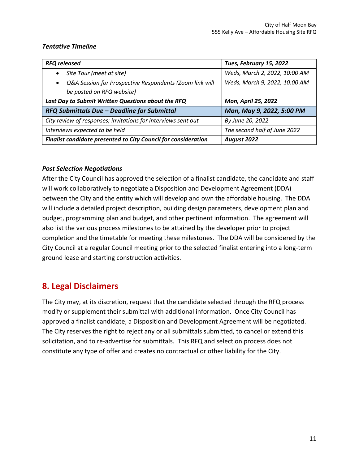#### *Tentative Timeline*

| <b>RFQ released</b>                                                  | Tues, February 15, 2022       |
|----------------------------------------------------------------------|-------------------------------|
| Site Tour (meet at site)                                             | Weds, March 2, 2022, 10:00 AM |
| Q&A Session for Prospective Respondents (Zoom link will<br>$\bullet$ | Weds, March 9, 2022, 10:00 AM |
| be posted on RFQ website)                                            |                               |
| Last Day to Submit Written Questions about the RFQ                   | <b>Mon, April 25, 2022</b>    |
| RFQ Submittals Due - Deadline for Submittal                          | Mon, May 9, 2022, 5:00 PM     |
| City review of responses; invitations for interviews sent out        | By June 20, 2022              |
| Interviews expected to be held                                       | The second half of June 2022  |
| Finalist candidate presented to City Council for consideration       | August 2022                   |

#### *Post Selection Negotiations*

After the City Council has approved the selection of a finalist candidate, the candidate and staff will work collaboratively to negotiate a Disposition and Development Agreement (DDA) between the City and the entity which will develop and own the affordable housing. The DDA will include a detailed project description, building design parameters, development plan and budget, programming plan and budget, and other pertinent information. The agreement will also list the various process milestones to be attained by the developer prior to project completion and the timetable for meeting these milestones. The DDA will be considered by the City Council at a regular Council meeting prior to the selected finalist entering into a long-term ground lease and starting construction activities.

### **8. Legal Disclaimers**

The City may, at its discretion, request that the candidate selected through the RFQ process modify or supplement their submittal with additional information. Once City Council has approved a finalist candidate, a Disposition and Development Agreement will be negotiated. The City reserves the right to reject any or all submittals submitted, to cancel or extend this solicitation, and to re-advertise for submittals. This RFQ and selection process does not constitute any type of offer and creates no contractual or other liability for the City.